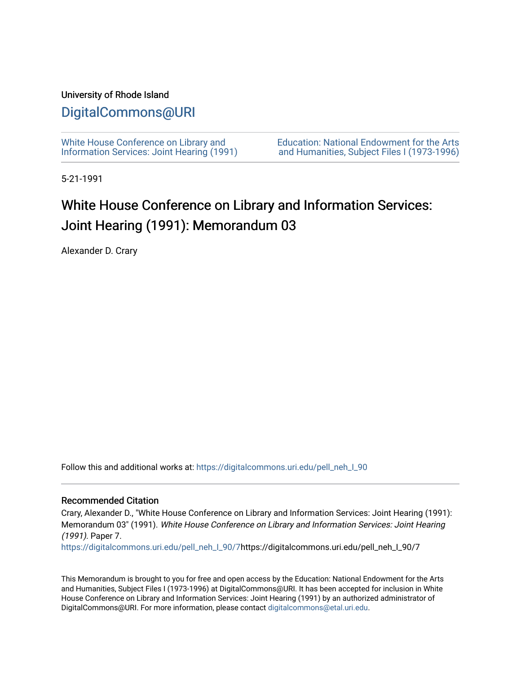### University of Rhode Island

## [DigitalCommons@URI](https://digitalcommons.uri.edu/)

[White House Conference on Library and](https://digitalcommons.uri.edu/pell_neh_I_90) [Information Services: Joint Hearing \(1991\)](https://digitalcommons.uri.edu/pell_neh_I_90) [Education: National Endowment for the Arts](https://digitalcommons.uri.edu/pell_neh_I)  [and Humanities, Subject Files I \(1973-1996\)](https://digitalcommons.uri.edu/pell_neh_I) 

5-21-1991

# White House Conference on Library and Information Services: Joint Hearing (1991): Memorandum 03

Alexander D. Crary

Follow this and additional works at: [https://digitalcommons.uri.edu/pell\\_neh\\_I\\_90](https://digitalcommons.uri.edu/pell_neh_I_90?utm_source=digitalcommons.uri.edu%2Fpell_neh_I_90%2F7&utm_medium=PDF&utm_campaign=PDFCoverPages) 

#### Recommended Citation

Crary, Alexander D., "White House Conference on Library and Information Services: Joint Hearing (1991): Memorandum 03" (1991). White House Conference on Library and Information Services: Joint Hearing (1991). Paper 7.

[https://digitalcommons.uri.edu/pell\\_neh\\_I\\_90/7h](https://digitalcommons.uri.edu/pell_neh_I_90/7?utm_source=digitalcommons.uri.edu%2Fpell_neh_I_90%2F7&utm_medium=PDF&utm_campaign=PDFCoverPages)ttps://digitalcommons.uri.edu/pell\_neh\_I\_90/7

This Memorandum is brought to you for free and open access by the Education: National Endowment for the Arts and Humanities, Subject Files I (1973-1996) at DigitalCommons@URI. It has been accepted for inclusion in White House Conference on Library and Information Services: Joint Hearing (1991) by an authorized administrator of DigitalCommons@URI. For more information, please contact [digitalcommons@etal.uri.edu.](mailto:digitalcommons@etal.uri.edu)